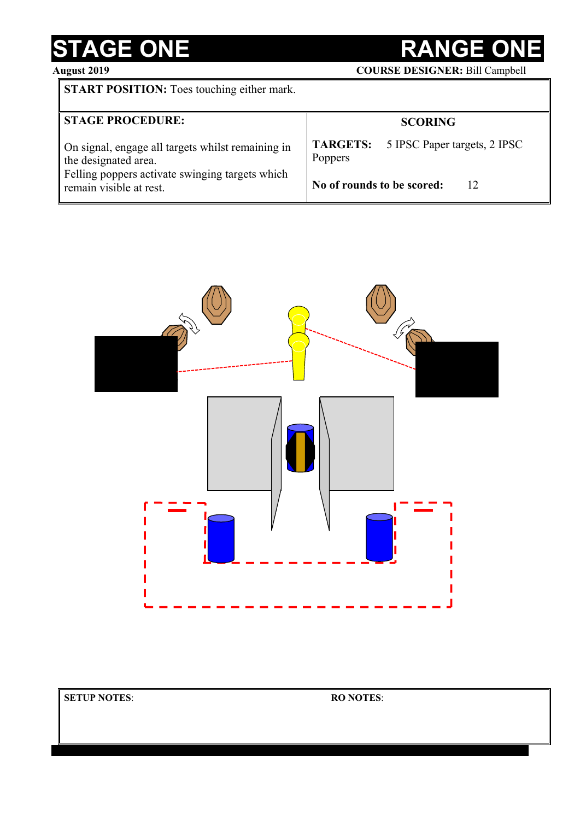## **STAGE ONE RANGE ONE**<br>August 2019 **COURSE DESIGNER:** Bill Camp

**August 2019 COURSE DESIGNER:** Bill Campbell

| <b>START POSITION:</b> Toes touching either mark. |  |
|---------------------------------------------------|--|
|                                                   |  |

| <b>STAGE PROCEDURE:</b>                                                                                                      | <b>SCORING</b>                                                 |  |
|------------------------------------------------------------------------------------------------------------------------------|----------------------------------------------------------------|--|
| On signal, engage all targets whilst remaining in<br>the designated area.<br>Felling poppers activate swinging targets which | <b>TARGETS:</b> 5 IPSC Paper targets, 2 IPSC<br><b>Poppers</b> |  |
| remain visible at rest.                                                                                                      | No of rounds to be scored:<br>12                               |  |

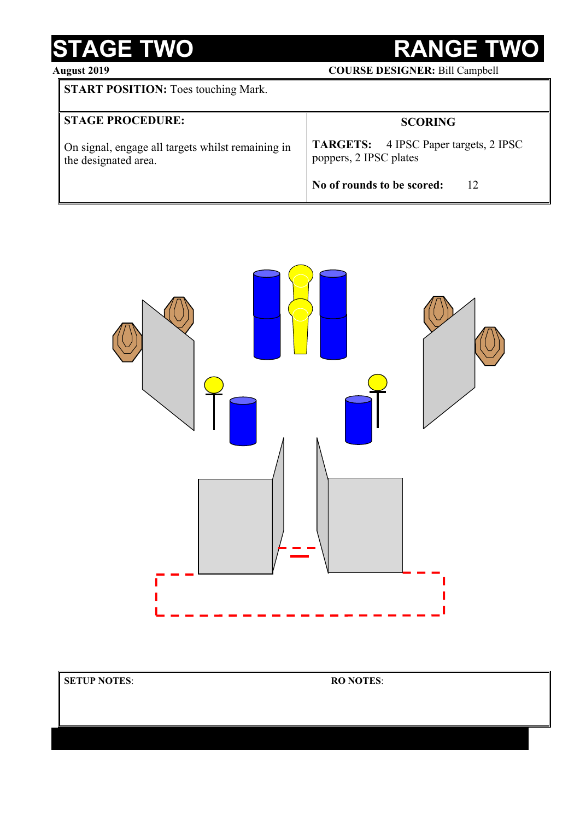## STAGE TWO RANGE TWO

**August 2019 COURSE DESIGNER:** Bill Campbell

| <b>START POSITION:</b> Toes touching Mark.                                |                                                                        |
|---------------------------------------------------------------------------|------------------------------------------------------------------------|
| <b>STAGE PROCEDURE:</b>                                                   | <b>SCORING</b>                                                         |
| On signal, engage all targets whilst remaining in<br>the designated area. | <b>TARGETS:</b> 4 IPSC Paper targets, 2 IPSC<br>poppers, 2 IPSC plates |
|                                                                           | No of rounds to be scored:<br>12                                       |



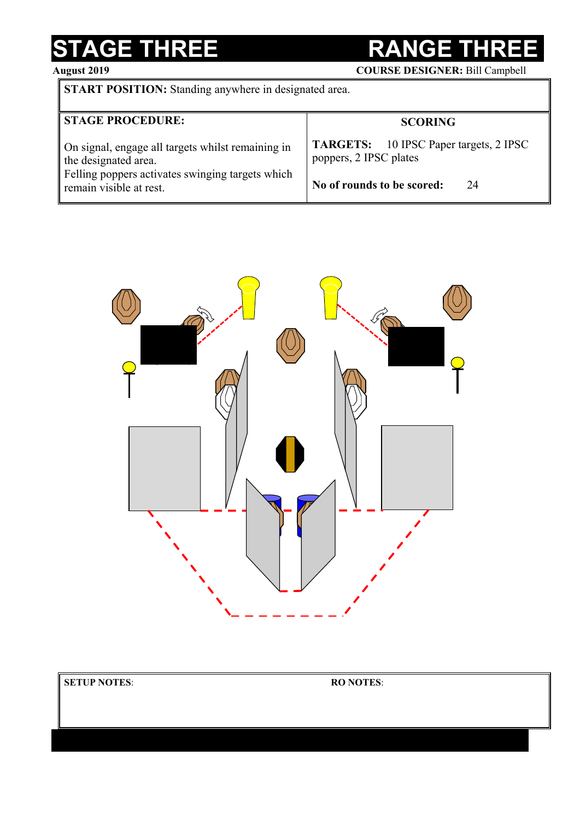## **STAGE THREE RANGE THR**<br>August 2019 **RANGE THR**<br>COURSE DESIGNER: Bill Camp

**COURSE DESIGNER: Bill Campbell** 

**START POSITION:** Standing anywhere in designated area.

| <b>STAGE PROCEDURE:</b>                                                                                                                                  | <b>SCORING</b>                                                                                              |
|----------------------------------------------------------------------------------------------------------------------------------------------------------|-------------------------------------------------------------------------------------------------------------|
| On signal, engage all targets whilst remaining in<br>the designated area.<br>Felling poppers activates swinging targets which<br>remain visible at rest. | <b>TARGETS:</b> 10 IPSC Paper targets, 2 IPSC<br>poppers, 2 IPSC plates<br>No of rounds to be scored:<br>24 |



| <b>SETUP NOTES:</b> | <b>RO NOTES:</b> |  |
|---------------------|------------------|--|
|                     |                  |  |
|                     |                  |  |
|                     |                  |  |
|                     |                  |  |
|                     |                  |  |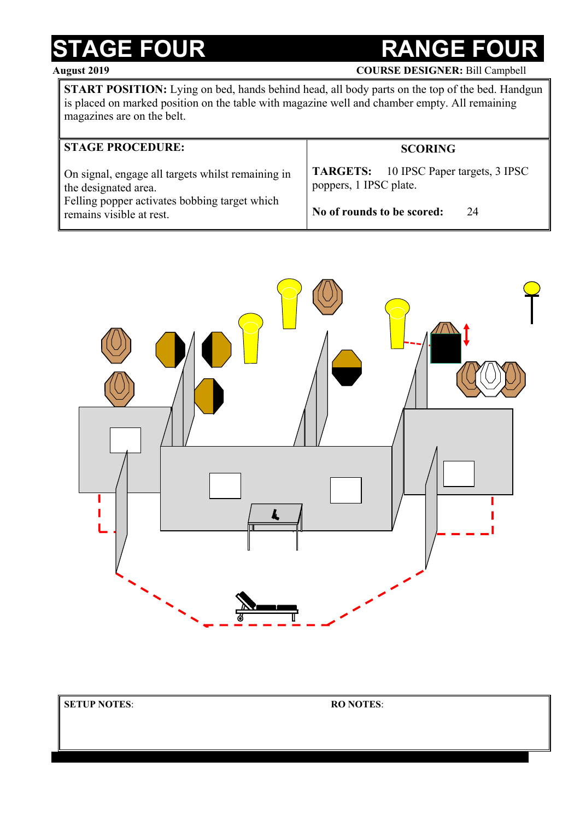### **STAGE FOUR COUNTER RANGE FO**

**August 2019 COURSE DESIGNER:** Bill Campbell

**START POSITION:** Lying on bed, hands behind head, all body parts on the top of the bed. Handgun is placed on marked position on the table with magazine well and chamber empty. All remaining magazines are on the belt.

| <b>STAGE PROCEDURE:</b>                           | <b>SCORING</b>                                |
|---------------------------------------------------|-----------------------------------------------|
| On signal, engage all targets whilst remaining in | <b>TARGETS:</b> 10 IPSC Paper targets, 3 IPSC |
| the designated area.                              | poppers, 1 IPSC plate.                        |
| Felling popper activates bobbing target which     | No of rounds to be scored:                    |
| remains visible at rest.                          | 24                                            |

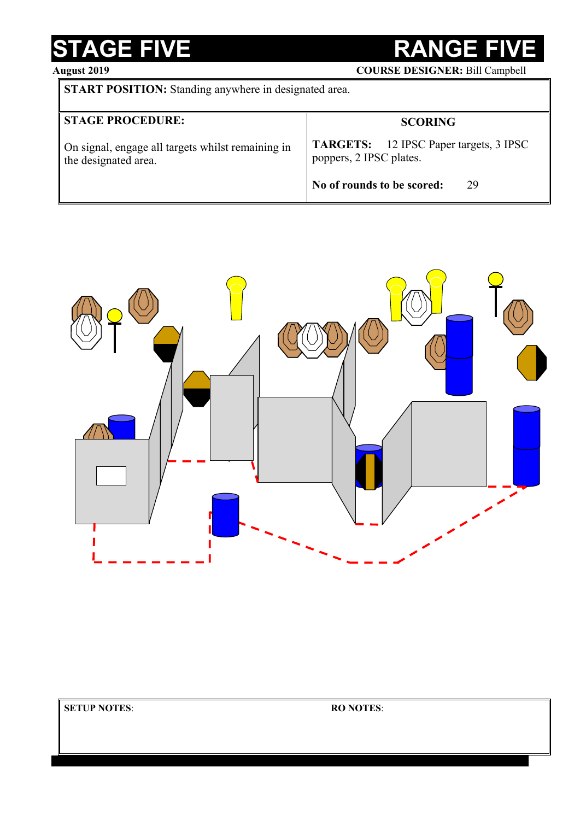# **STAGE FIVE RANGE FIVE**<br> **RANGE FIVE** COURSE DESIGNER: Bill Campbel

**August 2019 COURSE DESIGNER:** Bill Campbell

| <b>START POSITION:</b> Standing anywhere in designated area. |
|--------------------------------------------------------------|
|--------------------------------------------------------------|

| <b>STAGE PROCEDURE:</b>                                                   | <b>SCORING</b>                                                           |
|---------------------------------------------------------------------------|--------------------------------------------------------------------------|
| On signal, engage all targets whilst remaining in<br>the designated area. | <b>TARGETS:</b> 12 IPSC Paper targets, 3 IPSC<br>poppers, 2 IPSC plates. |
|                                                                           | No of rounds to be scored:<br>29                                         |

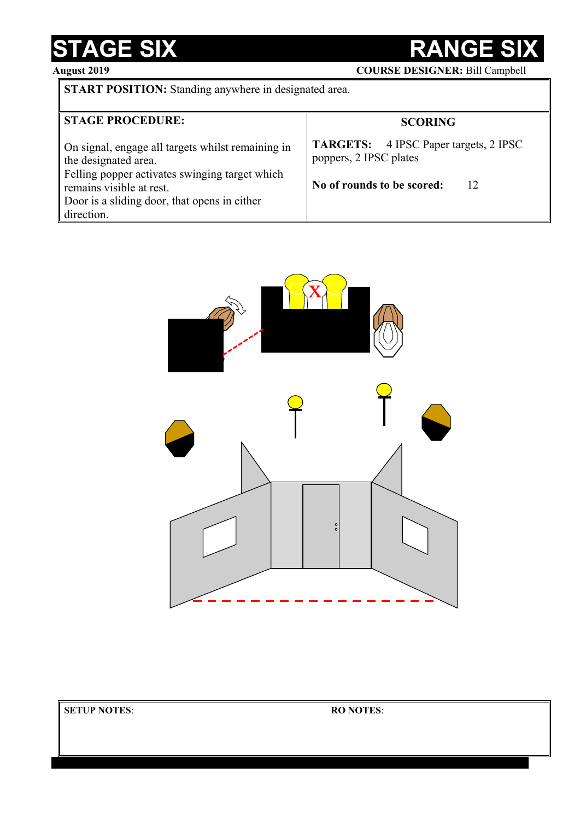### STAGE SIX RANGE SIX

**August 2019 COURSE DESIGNER:** Bill Campbell

**START POSITION:** Standing anywhere in designated area.

| <b>STAGE PROCEDURE:</b>                                                                                                                                                                                               | <b>SCORING</b>                                                                                             |  |
|-----------------------------------------------------------------------------------------------------------------------------------------------------------------------------------------------------------------------|------------------------------------------------------------------------------------------------------------|--|
| On signal, engage all targets whilst remaining in<br>the designated area.<br>Felling popper activates swinging target which<br>remains visible at rest.<br>Door is a sliding door, that opens in either<br>direction. | <b>TARGETS:</b> 4 IPSC Paper targets, 2 IPSC<br>poppers, 2 IPSC plates<br>No of rounds to be scored:<br>12 |  |

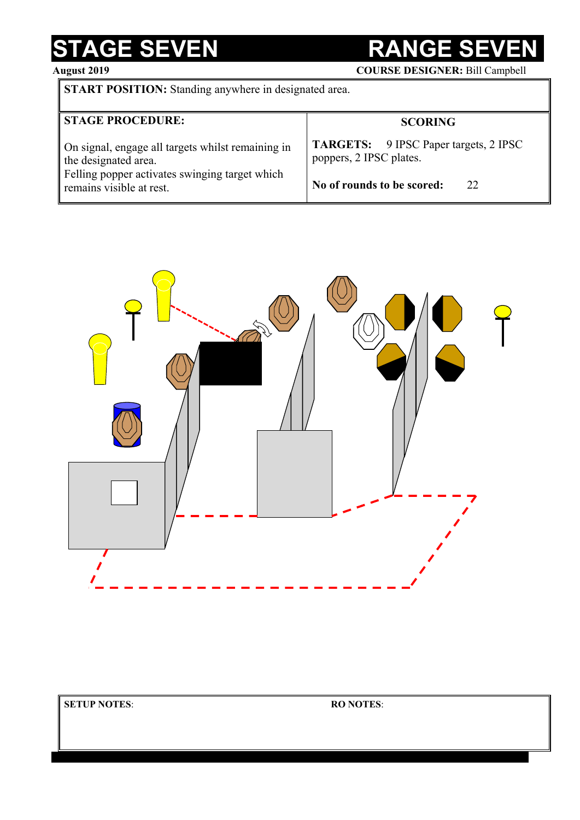### STAGE SEVEN RANGE SE

**August 2019 COURSE DESIGNER:** Bill Campbell

**START POSITION:** Standing anywhere in designated area.

| <b>STAGE PROCEDURE:</b>                           | <b>SCORING</b>                               |
|---------------------------------------------------|----------------------------------------------|
| On signal, engage all targets whilst remaining in | <b>TARGETS:</b> 9 IPSC Paper targets, 2 IPSC |
| the designated area.                              | poppers, 2 IPSC plates.                      |
| Felling popper activates swinging target which    | No of rounds to be scored:                   |
| remains visible at rest.                          | 22                                           |

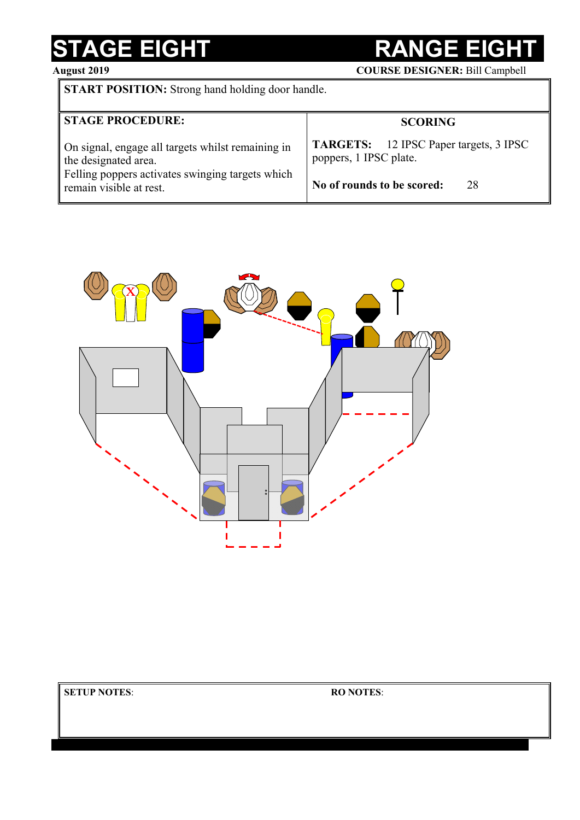## STAGE EIGHT RANGE EIG

**August 2019 COURSE DESIGNER:** Bill Campbell

**START POSITION:** Strong hand holding door handle.

| <b>STAGE PROCEDURE:</b>                           | <b>SCORING</b>                                |
|---------------------------------------------------|-----------------------------------------------|
| On signal, engage all targets whilst remaining in | <b>TARGETS:</b> 12 IPSC Paper targets, 3 IPSC |
| the designated area.                              | poppers, 1 IPSC plate.                        |
| Felling poppers activates swinging targets which  | No of rounds to be scored:                    |
| remain visible at rest.                           | 28                                            |



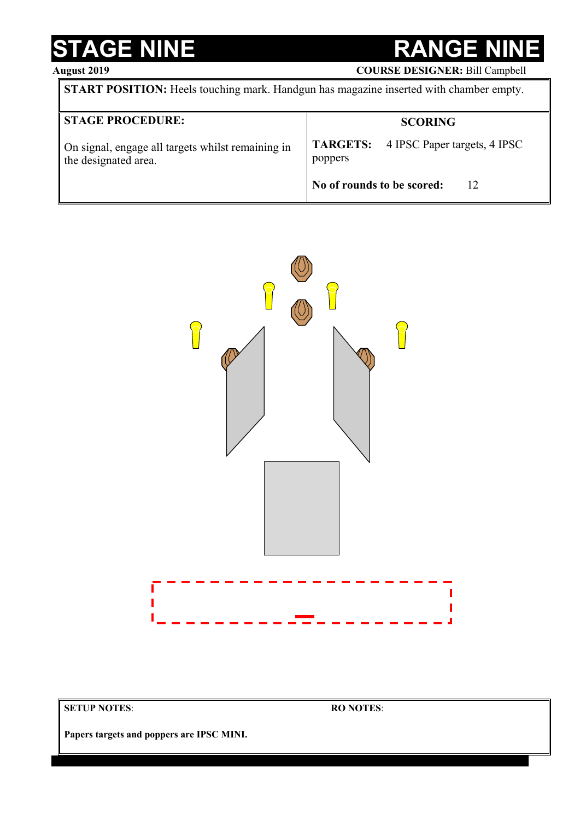### **STAGE NINE RANGE NINE**

### **August 2019**

| <b>COURSE DESIGNER: Bill Campbell</b> |  |
|---------------------------------------|--|
|---------------------------------------|--|

| <b>START POSITION:</b> Heels touching mark. Handgun has magazine inserted with chamber empty. |                                                         |  |
|-----------------------------------------------------------------------------------------------|---------------------------------------------------------|--|
| <b>STAGE PROCEDURE:</b>                                                                       | <b>SCORING</b>                                          |  |
| On signal, engage all targets whilst remaining in<br>the designated area.                     | <b>TARGETS:</b> 4 IPSC Paper targets, 4 IPSC<br>poppers |  |
|                                                                                               | No of rounds to be scored:<br>12                        |  |



**SETUP NOTES**:

**RO NOTES**:

**Papers targets and poppers are IPSC MINI.**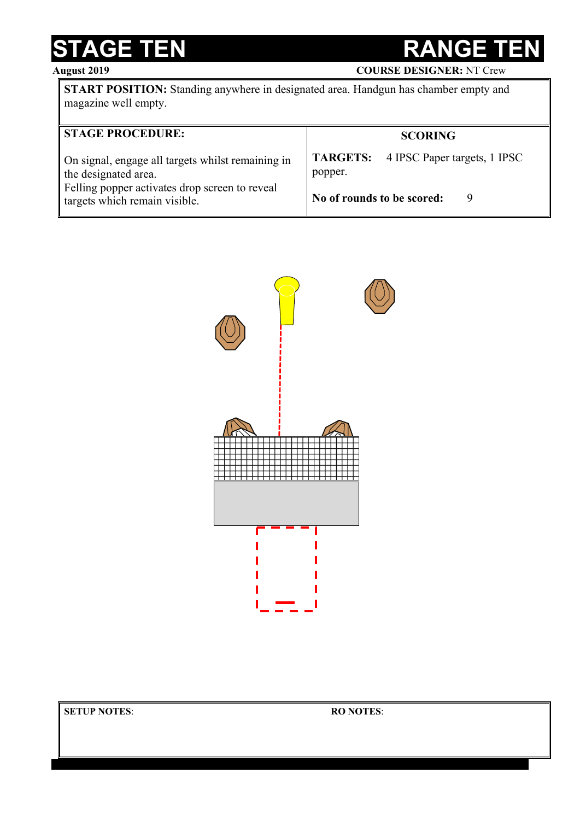### STAGE TEN RANGE T

**August 2019 COURSE DESIGNER:** NT Crew

**START POSITION:** Standing anywhere in designated area. Handgun has chamber empty and magazine well empty.

| <b>STAGE PROCEDURE:</b>                                                                                                                                      | <b>SCORING</b>                                                                        |
|--------------------------------------------------------------------------------------------------------------------------------------------------------------|---------------------------------------------------------------------------------------|
| On signal, engage all targets whilst remaining in<br>the designated area.<br>Felling popper activates drop screen to reveal<br>targets which remain visible. | <b>TARGETS:</b> 4 IPSC Paper targets, 1 IPSC<br>popper.<br>No of rounds to be scored: |

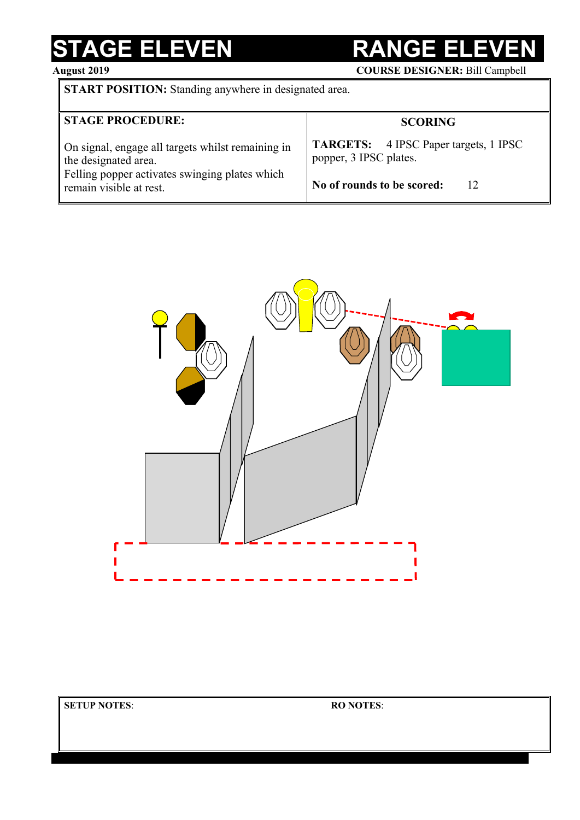### **STAGE ELEVEN RANGE ELE**

**August 2019 COURSE DESIGNER:** Bill Campbell

**START POSITION:** Standing anywhere in designated area.

| <b>STAGE PROCEDURE:</b>                           | <b>SCORING</b>                               |
|---------------------------------------------------|----------------------------------------------|
| On signal, engage all targets whilst remaining in | <b>TARGETS:</b> 4 IPSC Paper targets, 1 IPSC |
| the designated area.                              | popper, 3 IPSC plates.                       |
| Felling popper activates swinging plates which    | No of rounds to be scored:                   |
| remain visible at rest.                           | 12                                           |